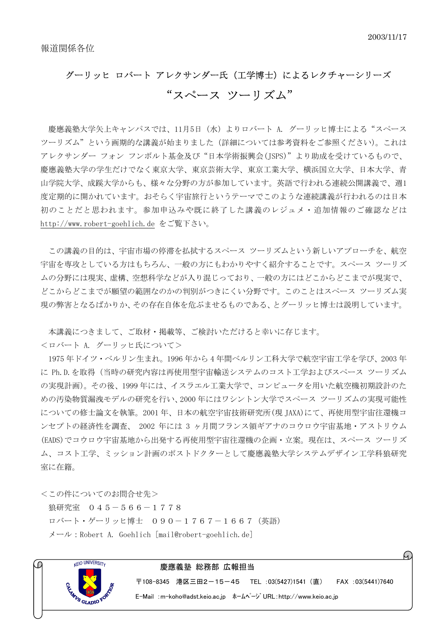## グーリッヒ ロバート アレクサンダー氏(工学博士)によるレクチャーシリーズ "スペース ツーリズム"

慶應義塾大学矢上キャンパスでは、11月5日(水)よりロバート A. グーリッヒ博士による"スペース ツーリズム"という画期的な講義が始まりました(詳細については参考資料をご参照ください)。これは アレクサンダー フォン フンボルト基金及び"日本学術振興会(JSPS)"より助成を受けているもので、 慶應義塾大学の学生だけでなく東京大学、東京芸術大学、東京工業大学、横浜国立大学、日本大学、青 山学院大学、成蹊大学からも、様々な分野の方が参加しています。英語で行われる連続公開講義で、週1 度定期的に開かれています。おそらく宇宙旅行というテーマでこのような連続講義が行われるのは日本 初のことだと思われます。参加申込みや既に終了した講義のレジュメ・追加情報のご確認などは http://www.robert-goehlich.de をご覧下さい。

この講義の目的は、宇宙市場の停滞を払拭するスペース ツーリズムという新しいアプローチを、航空 宇宙を専攻としている方はもちろん、一般の方にもわかりやすく紹介することです。スペース ツーリズ ムの分野には現実、虚構、空想科学などが入り混じっており、一般の方にはどこからどこまでが現実で、 どこからどこまでが願望の範囲なのかの判別がつきにくい分野です。このことはスペース ツーリズム実 現の弊害となるばかりか、その存在自体を危ぶませるものである、とグーリッヒ博士は説明しています。

本講義につきまして、ご取材・掲載等、ご検討いただけると幸いに存じます。

<ロバート A. グーリッヒ氏について>

1975 年ドイツ・ベルリン生まれ。1996 年から 4 年間ベルリン工科大学で航空宇宙工学を学び、2003 年 に Ph.D.を取得(当時の研究内容は再使用型宇宙輸送システムのコスト工学およびスペース ツーリズム の実現計画)。その後、1999 年には、イスラエル工業大学で、コンピュータを用いた航空機初期設計のた めの汚染物質漏洩モデルの研究を行い、2000 年にはワシントン大学でスペース ツーリズムの実現可能性 についての修士論文を執筆。2001 年、日本の航空宇宙技術研究所(現 JAXA)にて、再使用型宇宙往還機コ ンセプトの経済性を調査、 2002 年には 3 ヶ月間フランス領ギアナのコウロウ宇宙基地・アストリウム (EADS)でコウロウ宇宙基地から出発する再使用型宇宙往還機の企画・立案。現在は、スペース ツーリズ ム、コスト工学、ミッション計画のポストドクターとして慶應義塾大学システムデザイン工学科狼研究 室に在籍。

<この件についてのお問合せ先>

狼研究室 045-566-1778 ロバート・ゲーリッヒ博士 090-1767-1667(英語) メール:Robert A. Goehlich [mail@robert-goehlich.de]